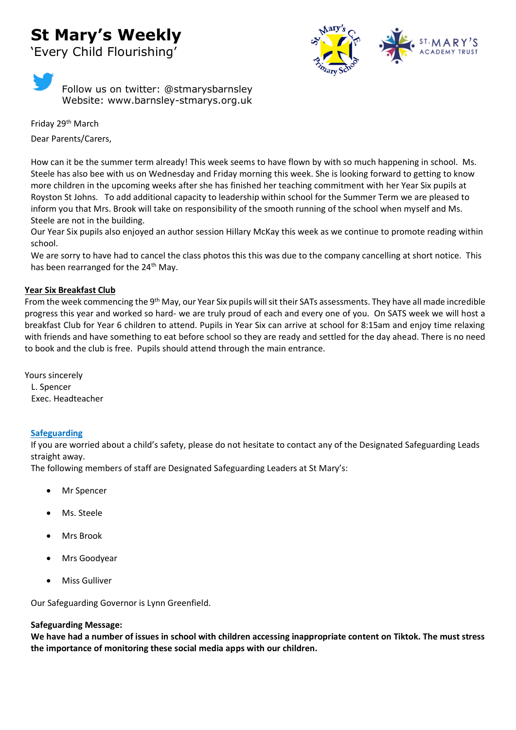# **St Mary's Weekly**

'Every Child Flourishing'



Follow us on twitter: @stmarysbarnsley Website: www.barnsley-stmarys.org.uk

Friday 29<sup>th</sup> March Dear Parents/Carers,

How can it be the summer term already! This week seems to have flown by with so much happening in school. Ms. Steele has also bee with us on Wednesday and Friday morning this week. She is looking forward to getting to know more children in the upcoming weeks after she has finished her teaching commitment with her Year Six pupils at Royston St Johns. To add additional capacity to leadership within school for the Summer Term we are pleased to inform you that Mrs. Brook will take on responsibility of the smooth running of the school when myself and Ms. Steele are not in the building.

Our Year Six pupils also enjoyed an author session Hillary McKay this week as we continue to promote reading within school.

We are sorry to have had to cancel the class photos this this was due to the company cancelling at short notice. This has been rearranged for the 24<sup>th</sup> May.

### **Year Six Breakfast Club**

From the week commencing the 9<sup>th</sup> May, our Year Six pupils will sit their SATs assessments. They have all made incredible progress this year and worked so hard- we are truly proud of each and every one of you. On SATS week we will host a breakfast Club for Year 6 children to attend. Pupils in Year Six can arrive at school for 8:15am and enjoy time relaxing with friends and have something to eat before school so they are ready and settled for the day ahead. There is no need to book and the club is free. Pupils should attend through the main entrance.

Yours sincerely L. Spencer Exec. Headteacher

### **Safeguarding**

If you are worried about a child's safety, please do not hesitate to contact any of the Designated Safeguarding Leads straight away.

The following members of staff are Designated Safeguarding Leaders at St Mary's:

- Mr Spencer
- Ms. Steele
- Mrs Brook
- Mrs Goodyear
- Miss Gulliver

Our Safeguarding Governor is Lynn Greenfield.

### **Safeguarding Message:**

**We have had a number of issues in school with children accessing inappropriate content on Tiktok. The must stress the importance of monitoring these social media apps with our children.**